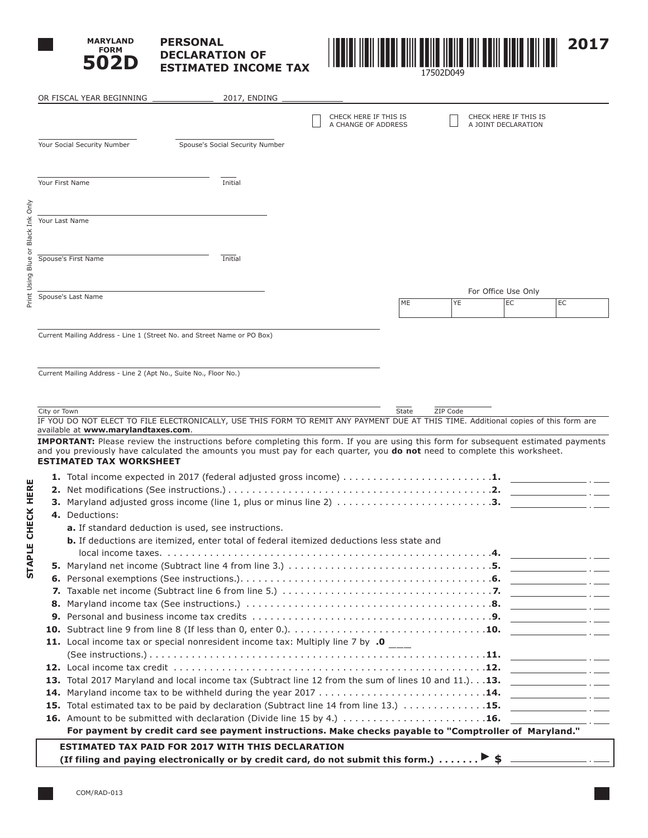

# **PERSONAL DECLARATION OF ESTIMATED INCOME TAX**



| CHECK HERE IF THIS IS<br>A CHANGE OF ADDRESS<br>Your Social Security Number<br>Spouse's Social Security Number<br>Your First Name<br>Initial<br>Your Last Name<br>Spouse's First Name<br>Initial<br>Spouse's Last Name<br>Current Mailing Address - Line 1 (Street No. and Street Name or PO Box)<br>Current Mailing Address - Line 2 (Apt No., Suite No., Floor No.)<br>City or Town<br>IF YOU DO NOT ELECT TO FILE ELECTRONICALLY, USE THIS FORM TO REMIT ANY PAYMENT DUE AT THIS TIME. Additional copies of this form are<br>available at www.marylandtaxes.com.<br><b>IMPORTANT:</b> Please review the instructions before completing this form. If you are using this form for subsequent estimated payments<br>and you previously have calculated the amounts you must pay for each quarter, you do not need to complete this worksheet.<br><b>ESTIMATED TAX WORKSHEET</b><br>1. Total income expected in 2017 (federal adjusted gross income) $\dots \dots \dots \dots \dots \dots \dots \dots$<br>3. Maryland adjusted gross income (line 1, plus or minus line 2) 3.<br>4. Deductions:<br>a. If standard deduction is used, see instructions.<br><b>b.</b> If deductions are itemized, enter total of federal itemized deductions less state and<br>11. Local income tax or special nonresident income tax: Multiply line 7 by .0<br>13. Total 2017 Maryland and local income tax (Subtract line 12 from the sum of lines 10 and 11.). 13. |       |          |                       |    |
|-----------------------------------------------------------------------------------------------------------------------------------------------------------------------------------------------------------------------------------------------------------------------------------------------------------------------------------------------------------------------------------------------------------------------------------------------------------------------------------------------------------------------------------------------------------------------------------------------------------------------------------------------------------------------------------------------------------------------------------------------------------------------------------------------------------------------------------------------------------------------------------------------------------------------------------------------------------------------------------------------------------------------------------------------------------------------------------------------------------------------------------------------------------------------------------------------------------------------------------------------------------------------------------------------------------------------------------------------------------------------------------------------------------------------------------------------------|-------|----------|-----------------------|----|
|                                                                                                                                                                                                                                                                                                                                                                                                                                                                                                                                                                                                                                                                                                                                                                                                                                                                                                                                                                                                                                                                                                                                                                                                                                                                                                                                                                                                                                                     |       |          | CHECK HERE IF THIS IS |    |
|                                                                                                                                                                                                                                                                                                                                                                                                                                                                                                                                                                                                                                                                                                                                                                                                                                                                                                                                                                                                                                                                                                                                                                                                                                                                                                                                                                                                                                                     |       |          | A JOINT DECLARATION   |    |
|                                                                                                                                                                                                                                                                                                                                                                                                                                                                                                                                                                                                                                                                                                                                                                                                                                                                                                                                                                                                                                                                                                                                                                                                                                                                                                                                                                                                                                                     |       |          |                       |    |
|                                                                                                                                                                                                                                                                                                                                                                                                                                                                                                                                                                                                                                                                                                                                                                                                                                                                                                                                                                                                                                                                                                                                                                                                                                                                                                                                                                                                                                                     |       |          |                       |    |
|                                                                                                                                                                                                                                                                                                                                                                                                                                                                                                                                                                                                                                                                                                                                                                                                                                                                                                                                                                                                                                                                                                                                                                                                                                                                                                                                                                                                                                                     |       |          |                       |    |
|                                                                                                                                                                                                                                                                                                                                                                                                                                                                                                                                                                                                                                                                                                                                                                                                                                                                                                                                                                                                                                                                                                                                                                                                                                                                                                                                                                                                                                                     |       |          |                       |    |
|                                                                                                                                                                                                                                                                                                                                                                                                                                                                                                                                                                                                                                                                                                                                                                                                                                                                                                                                                                                                                                                                                                                                                                                                                                                                                                                                                                                                                                                     |       |          |                       |    |
|                                                                                                                                                                                                                                                                                                                                                                                                                                                                                                                                                                                                                                                                                                                                                                                                                                                                                                                                                                                                                                                                                                                                                                                                                                                                                                                                                                                                                                                     |       |          |                       |    |
|                                                                                                                                                                                                                                                                                                                                                                                                                                                                                                                                                                                                                                                                                                                                                                                                                                                                                                                                                                                                                                                                                                                                                                                                                                                                                                                                                                                                                                                     |       |          |                       |    |
|                                                                                                                                                                                                                                                                                                                                                                                                                                                                                                                                                                                                                                                                                                                                                                                                                                                                                                                                                                                                                                                                                                                                                                                                                                                                                                                                                                                                                                                     |       |          |                       |    |
|                                                                                                                                                                                                                                                                                                                                                                                                                                                                                                                                                                                                                                                                                                                                                                                                                                                                                                                                                                                                                                                                                                                                                                                                                                                                                                                                                                                                                                                     |       |          |                       |    |
|                                                                                                                                                                                                                                                                                                                                                                                                                                                                                                                                                                                                                                                                                                                                                                                                                                                                                                                                                                                                                                                                                                                                                                                                                                                                                                                                                                                                                                                     |       |          |                       |    |
|                                                                                                                                                                                                                                                                                                                                                                                                                                                                                                                                                                                                                                                                                                                                                                                                                                                                                                                                                                                                                                                                                                                                                                                                                                                                                                                                                                                                                                                     |       |          |                       |    |
|                                                                                                                                                                                                                                                                                                                                                                                                                                                                                                                                                                                                                                                                                                                                                                                                                                                                                                                                                                                                                                                                                                                                                                                                                                                                                                                                                                                                                                                     |       |          | For Office Use Only   |    |
|                                                                                                                                                                                                                                                                                                                                                                                                                                                                                                                                                                                                                                                                                                                                                                                                                                                                                                                                                                                                                                                                                                                                                                                                                                                                                                                                                                                                                                                     | ME    | YE       | EC                    | EC |
|                                                                                                                                                                                                                                                                                                                                                                                                                                                                                                                                                                                                                                                                                                                                                                                                                                                                                                                                                                                                                                                                                                                                                                                                                                                                                                                                                                                                                                                     |       |          |                       |    |
|                                                                                                                                                                                                                                                                                                                                                                                                                                                                                                                                                                                                                                                                                                                                                                                                                                                                                                                                                                                                                                                                                                                                                                                                                                                                                                                                                                                                                                                     |       |          |                       |    |
|                                                                                                                                                                                                                                                                                                                                                                                                                                                                                                                                                                                                                                                                                                                                                                                                                                                                                                                                                                                                                                                                                                                                                                                                                                                                                                                                                                                                                                                     |       |          |                       |    |
|                                                                                                                                                                                                                                                                                                                                                                                                                                                                                                                                                                                                                                                                                                                                                                                                                                                                                                                                                                                                                                                                                                                                                                                                                                                                                                                                                                                                                                                     |       |          |                       |    |
|                                                                                                                                                                                                                                                                                                                                                                                                                                                                                                                                                                                                                                                                                                                                                                                                                                                                                                                                                                                                                                                                                                                                                                                                                                                                                                                                                                                                                                                     |       |          |                       |    |
|                                                                                                                                                                                                                                                                                                                                                                                                                                                                                                                                                                                                                                                                                                                                                                                                                                                                                                                                                                                                                                                                                                                                                                                                                                                                                                                                                                                                                                                     |       |          |                       |    |
|                                                                                                                                                                                                                                                                                                                                                                                                                                                                                                                                                                                                                                                                                                                                                                                                                                                                                                                                                                                                                                                                                                                                                                                                                                                                                                                                                                                                                                                     |       |          |                       |    |
|                                                                                                                                                                                                                                                                                                                                                                                                                                                                                                                                                                                                                                                                                                                                                                                                                                                                                                                                                                                                                                                                                                                                                                                                                                                                                                                                                                                                                                                     | State | ZIP Code |                       |    |
|                                                                                                                                                                                                                                                                                                                                                                                                                                                                                                                                                                                                                                                                                                                                                                                                                                                                                                                                                                                                                                                                                                                                                                                                                                                                                                                                                                                                                                                     |       |          |                       |    |
|                                                                                                                                                                                                                                                                                                                                                                                                                                                                                                                                                                                                                                                                                                                                                                                                                                                                                                                                                                                                                                                                                                                                                                                                                                                                                                                                                                                                                                                     |       |          |                       |    |
|                                                                                                                                                                                                                                                                                                                                                                                                                                                                                                                                                                                                                                                                                                                                                                                                                                                                                                                                                                                                                                                                                                                                                                                                                                                                                                                                                                                                                                                     |       |          |                       |    |
|                                                                                                                                                                                                                                                                                                                                                                                                                                                                                                                                                                                                                                                                                                                                                                                                                                                                                                                                                                                                                                                                                                                                                                                                                                                                                                                                                                                                                                                     |       |          |                       |    |
|                                                                                                                                                                                                                                                                                                                                                                                                                                                                                                                                                                                                                                                                                                                                                                                                                                                                                                                                                                                                                                                                                                                                                                                                                                                                                                                                                                                                                                                     |       |          |                       |    |
|                                                                                                                                                                                                                                                                                                                                                                                                                                                                                                                                                                                                                                                                                                                                                                                                                                                                                                                                                                                                                                                                                                                                                                                                                                                                                                                                                                                                                                                     |       |          |                       |    |
|                                                                                                                                                                                                                                                                                                                                                                                                                                                                                                                                                                                                                                                                                                                                                                                                                                                                                                                                                                                                                                                                                                                                                                                                                                                                                                                                                                                                                                                     |       |          |                       |    |
|                                                                                                                                                                                                                                                                                                                                                                                                                                                                                                                                                                                                                                                                                                                                                                                                                                                                                                                                                                                                                                                                                                                                                                                                                                                                                                                                                                                                                                                     |       |          |                       |    |
|                                                                                                                                                                                                                                                                                                                                                                                                                                                                                                                                                                                                                                                                                                                                                                                                                                                                                                                                                                                                                                                                                                                                                                                                                                                                                                                                                                                                                                                     |       |          |                       |    |
|                                                                                                                                                                                                                                                                                                                                                                                                                                                                                                                                                                                                                                                                                                                                                                                                                                                                                                                                                                                                                                                                                                                                                                                                                                                                                                                                                                                                                                                     |       |          |                       |    |
|                                                                                                                                                                                                                                                                                                                                                                                                                                                                                                                                                                                                                                                                                                                                                                                                                                                                                                                                                                                                                                                                                                                                                                                                                                                                                                                                                                                                                                                     |       |          | 5.                    |    |
|                                                                                                                                                                                                                                                                                                                                                                                                                                                                                                                                                                                                                                                                                                                                                                                                                                                                                                                                                                                                                                                                                                                                                                                                                                                                                                                                                                                                                                                     |       |          |                       |    |
|                                                                                                                                                                                                                                                                                                                                                                                                                                                                                                                                                                                                                                                                                                                                                                                                                                                                                                                                                                                                                                                                                                                                                                                                                                                                                                                                                                                                                                                     |       |          |                       |    |
|                                                                                                                                                                                                                                                                                                                                                                                                                                                                                                                                                                                                                                                                                                                                                                                                                                                                                                                                                                                                                                                                                                                                                                                                                                                                                                                                                                                                                                                     |       |          |                       |    |
|                                                                                                                                                                                                                                                                                                                                                                                                                                                                                                                                                                                                                                                                                                                                                                                                                                                                                                                                                                                                                                                                                                                                                                                                                                                                                                                                                                                                                                                     |       |          |                       |    |
|                                                                                                                                                                                                                                                                                                                                                                                                                                                                                                                                                                                                                                                                                                                                                                                                                                                                                                                                                                                                                                                                                                                                                                                                                                                                                                                                                                                                                                                     |       |          |                       |    |
|                                                                                                                                                                                                                                                                                                                                                                                                                                                                                                                                                                                                                                                                                                                                                                                                                                                                                                                                                                                                                                                                                                                                                                                                                                                                                                                                                                                                                                                     |       |          |                       |    |
|                                                                                                                                                                                                                                                                                                                                                                                                                                                                                                                                                                                                                                                                                                                                                                                                                                                                                                                                                                                                                                                                                                                                                                                                                                                                                                                                                                                                                                                     |       |          |                       |    |
|                                                                                                                                                                                                                                                                                                                                                                                                                                                                                                                                                                                                                                                                                                                                                                                                                                                                                                                                                                                                                                                                                                                                                                                                                                                                                                                                                                                                                                                     |       |          |                       |    |
|                                                                                                                                                                                                                                                                                                                                                                                                                                                                                                                                                                                                                                                                                                                                                                                                                                                                                                                                                                                                                                                                                                                                                                                                                                                                                                                                                                                                                                                     |       |          |                       |    |
|                                                                                                                                                                                                                                                                                                                                                                                                                                                                                                                                                                                                                                                                                                                                                                                                                                                                                                                                                                                                                                                                                                                                                                                                                                                                                                                                                                                                                                                     |       |          |                       |    |
|                                                                                                                                                                                                                                                                                                                                                                                                                                                                                                                                                                                                                                                                                                                                                                                                                                                                                                                                                                                                                                                                                                                                                                                                                                                                                                                                                                                                                                                     |       |          |                       |    |
|                                                                                                                                                                                                                                                                                                                                                                                                                                                                                                                                                                                                                                                                                                                                                                                                                                                                                                                                                                                                                                                                                                                                                                                                                                                                                                                                                                                                                                                     |       |          |                       |    |
| For payment by credit card see payment instructions. Make checks payable to "Comptroller of Maryland."                                                                                                                                                                                                                                                                                                                                                                                                                                                                                                                                                                                                                                                                                                                                                                                                                                                                                                                                                                                                                                                                                                                                                                                                                                                                                                                                              |       |          |                       |    |
| <b>ESTIMATED TAX PAID FOR 2017 WITH THIS DECLARATION</b>                                                                                                                                                                                                                                                                                                                                                                                                                                                                                                                                                                                                                                                                                                                                                                                                                                                                                                                                                                                                                                                                                                                                                                                                                                                                                                                                                                                            |       |          |                       |    |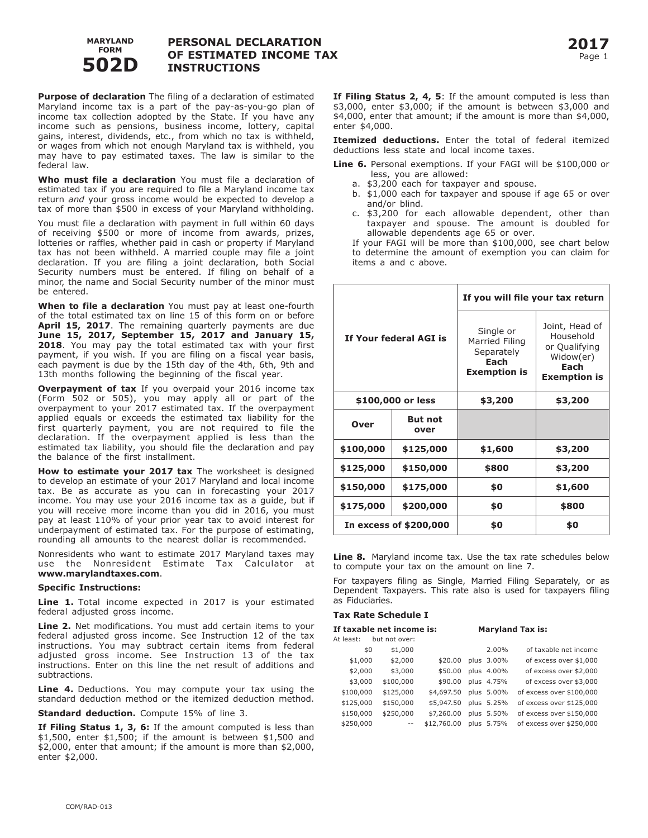

## **PERSONAL DECLARATION OF ESTIMATED INCOME TAX INSTRUCTIONS**

**Purpose of declaration** The filing of a declaration of estimated Maryland income tax is a part of the pay-as-you-go plan of income tax collection adopted by the State. If you have any income such as pensions, business income, lottery, capital gains, interest, dividends, etc., from which no tax is withheld, or wages from which not enough Maryland tax is withheld, you may have to pay estimated taxes. The law is similar to the federal law.

**Who must file a declaration** You must file a declaration of estimated tax if you are required to file a Maryland income tax return *and* your gross income would be expected to develop a tax of more than \$500 in excess of your Maryland withholding.

You must file a declaration with payment in full within 60 days of receiving \$500 or more of income from awards, prizes, lotteries or raffles, whether paid in cash or property if Maryland tax has not been withheld. A married couple may file a joint declaration. If you are filing a joint declaration, both Social Security numbers must be entered. If filing on behalf of a minor, the name and Social Security number of the minor must be entered.

**When to file a declaration** You must pay at least one-fourth of the total estimated tax on line 15 of this form on or before **April 15, 2017**. The remaining quarterly payments are due **June 15, 2017, September 15, 2017 and January 15, 2018**. You may pay the total estimated tax with your first payment, if you wish. If you are filing on a fiscal year basis, each payment is due by the 15th day of the 4th, 6th, 9th and 13th months following the beginning of the fiscal year.

**Overpayment of tax** If you overpaid your 2016 income tax (Form 502 or 505), you may apply all or part of the overpayment to your 2017 estimated tax. If the overpayment applied equals or exceeds the estimated tax liability for the first quarterly payment, you are not required to file the declaration. If the overpayment applied is less than the estimated tax liability, you should file the declaration and pay the balance of the first installment.

**How to estimate your 2017 tax** The worksheet is designed to develop an estimate of your 2017 Maryland and local income tax. Be as accurate as you can in forecasting your 2017 income. You may use your 2016 income tax as a guide, but if you will receive more income than you did in 2016, you must pay at least 110% of your prior year tax to avoid interest for underpayment of estimated tax. For the purpose of estimating, rounding all amounts to the nearest dollar is recommended.

Nonresidents who want to estimate 2017 Maryland taxes may use the Nonresident Estimate Tax Calculator at **www.marylandtaxes.com**.

#### **Specific Instructions:**

**Line 1.** Total income expected in 2017 is your estimated federal adjusted gross income.

**Line 2.** Net modifications. You must add certain items to your federal adjusted gross income. See Instruction 12 of the tax instructions. You may subtract certain items from federal adjusted gross income. See Instruction 13 of the tax instructions. Enter on this line the net result of additions and subtractions.

**Line 4.** Deductions. You may compute your tax using the standard deduction method or the itemized deduction method.

**Standard deduction.** Compute 15% of line 3.

**If Filing Status 1, 3, 6:** If the amount computed is less than \$1,500, enter \$1,500; if the amount is between \$1,500 and \$2,000, enter that amount; if the amount is more than \$2,000, enter \$2,000.

**If Filing Status 2, 4, 5**: If the amount computed is less than \$3,000, enter \$3,000; if the amount is between \$3,000 and \$4,000, enter that amount; if the amount is more than \$4,000, enter \$4,000.

**Itemized deductions.** Enter the total of federal itemized deductions less state and local income taxes.

**Line 6.** Personal exemptions. If your FAGI will be \$100,000 or less, you are allowed:

- a. \$3,200 each for taxpayer and spouse.
- b. \$1,000 each for taxpayer and spouse if age 65 or over and/or blind.
- c. \$3,200 for each allowable dependent, other than taxpayer and spouse. The amount is doubled for allowable dependents age 65 or over.

 If your FAGI will be more than \$100,000, see chart below to determine the amount of exemption you can claim for items a and c above.

| If Your federal AGI is |                        | If you will file your tax return                                         |                                                                                          |  |  |
|------------------------|------------------------|--------------------------------------------------------------------------|------------------------------------------------------------------------------------------|--|--|
|                        |                        | Single or<br>Married Filing<br>Separately<br>Each<br><b>Exemption is</b> | Joint, Head of<br>Household<br>or Qualifying<br>Widow(er)<br>Each<br><b>Exemption is</b> |  |  |
| \$100,000 or less      |                        | \$3,200                                                                  | \$3,200                                                                                  |  |  |
| <b>Over</b>            | <b>But not</b><br>over |                                                                          |                                                                                          |  |  |
| \$100,000              | \$125,000              | \$1,600                                                                  | \$3,200                                                                                  |  |  |
| \$125,000              | \$150,000              | \$800                                                                    | \$3,200                                                                                  |  |  |
| \$150,000<br>\$175,000 |                        | \$0                                                                      | \$1,600                                                                                  |  |  |
| \$175,000              | \$200,000              | \$0                                                                      | \$800                                                                                    |  |  |
|                        | In excess of \$200,000 | \$0                                                                      | \$0                                                                                      |  |  |

**Line 8.** Maryland income tax. Use the tax rate schedules below to compute your tax on the amount on line 7.

For taxpayers filing as Single, Married Filing Separately, or as Dependent Taxpayers. This rate also is used for taxpayers filing as Fiduciaries.

#### **Tax Rate Schedule I**

| If taxable net income is: |     |               | <b>Maryland Tax is:</b> |  |            |                          |
|---------------------------|-----|---------------|-------------------------|--|------------|--------------------------|
| At least:                 |     | but not over: |                         |  |            |                          |
|                           | \$0 | \$1,000       |                         |  | 2.00%      | of taxable net income    |
| \$1,000                   |     | \$2,000       | \$20.00                 |  | plus 3.00% | of excess over \$1,000   |
| \$2,000                   |     | \$3,000       | \$50.00                 |  | plus 4.00% | of excess over \$2,000   |
| \$3,000                   |     | \$100,000     | \$90.00                 |  | plus 4.75% | of excess over \$3,000   |
| \$100,000                 |     | \$125,000     | \$4,697.50              |  | plus 5.00% | of excess over \$100,000 |
| \$125,000                 |     | \$150,000     | \$5,947.50              |  | plus 5.25% | of excess over \$125,000 |
| \$150,000                 |     | \$250,000     | \$7,260,00              |  | plus 5.50% | of excess over \$150,000 |
| \$250,000                 |     | $- -$         | \$12,760.00             |  | plus 5.75% | of excess over \$250,000 |